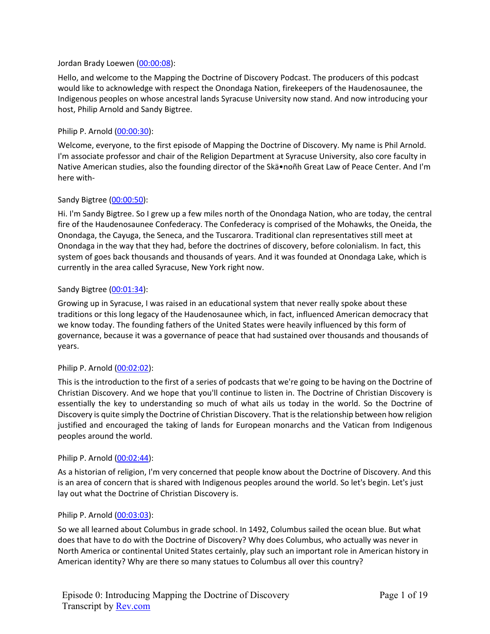### Jordan Brady Loewen (00:00:08):

Hello, and welcome to the Mapping the Doctrine of Discovery Podcast. The producers of this podcast would like to acknowledge with respect the Onondaga Nation, firekeepers of the Haudenosaunee, the Indigenous peoples on whose ancestral lands Syracuse University now stand. And now introducing your host, Philip Arnold and Sandy Bigtree.

# Philip P. Arnold (00:00:30):

Welcome, everyone, to the first episode of Mapping the Doctrine of Discovery. My name is Phil Arnold. I'm associate professor and chair of the Religion Department at Syracuse University, also core faculty in Native American studies, also the founding director of the Skä•noñh Great Law of Peace Center. And I'm here with-

### Sandy Bigtree (00:00:50):

Hi. I'm Sandy Bigtree. So I grew up a few miles north of the Onondaga Nation, who are today, the central fire of the Haudenosaunee Confederacy. The Confederacy is comprised of the Mohawks, the Oneida, the Onondaga, the Cayuga, the Seneca, and the Tuscarora. Traditional clan representatives still meet at Onondaga in the way that they had, before the doctrines of discovery, before colonialism. In fact, this system of goes back thousands and thousands of years. And it was founded at Onondaga Lake, which is currently in the area called Syracuse, New York right now.

### Sandy Bigtree (00:01:34):

Growing up in Syracuse, I was raised in an educational system that never really spoke about these traditions or this long legacy of the Haudenosaunee which, in fact, influenced American democracy that we know today. The founding fathers of the United States were heavily influenced by this form of governance, because it was a governance of peace that had sustained over thousands and thousands of years.

# Philip P. Arnold (00:02:02):

This is the introduction to the first of a series of podcasts that we're going to be having on the Doctrine of Christian Discovery. And we hope that you'll continue to listen in. The Doctrine of Christian Discovery is essentially the key to understanding so much of what ails us today in the world. So the Doctrine of Discovery is quite simply the Doctrine of Christian Discovery. That is the relationship between how religion justified and encouraged the taking of lands for European monarchs and the Vatican from Indigenous peoples around the world.

#### Philip P. Arnold (00:02:44):

As a historian of religion, I'm very concerned that people know about the Doctrine of Discovery. And this is an area of concern that is shared with Indigenous peoples around the world. So let's begin. Let's just lay out what the Doctrine of Christian Discovery is.

# Philip P. Arnold (00:03:03):

So we all learned about Columbus in grade school. In 1492, Columbus sailed the ocean blue. But what does that have to do with the Doctrine of Discovery? Why does Columbus, who actually was never in North America or continental United States certainly, play such an important role in American history in American identity? Why are there so many statues to Columbus all over this country?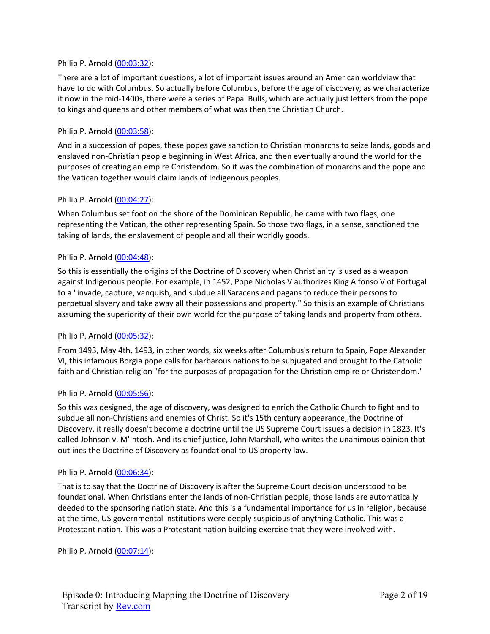# Philip P. Arnold (00:03:32):

There are a lot of important questions, a lot of important issues around an American worldview that have to do with Columbus. So actually before Columbus, before the age of discovery, as we characterize it now in the mid-1400s, there were a series of Papal Bulls, which are actually just letters from the pope to kings and queens and other members of what was then the Christian Church.

### Philip P. Arnold (00:03:58):

And in a succession of popes, these popes gave sanction to Christian monarchs to seize lands, goods and enslaved non-Christian people beginning in West Africa, and then eventually around the world for the purposes of creating an empire Christendom. So it was the combination of monarchs and the pope and the Vatican together would claim lands of Indigenous peoples.

### Philip P. Arnold (00:04:27):

When Columbus set foot on the shore of the Dominican Republic, he came with two flags, one representing the Vatican, the other representing Spain. So those two flags, in a sense, sanctioned the taking of lands, the enslavement of people and all their worldly goods.

### Philip P. Arnold (00:04:48):

So this is essentially the origins of the Doctrine of Discovery when Christianity is used as a weapon against Indigenous people. For example, in 1452, Pope Nicholas V authorizes King Alfonso V of Portugal to a "invade, capture, vanquish, and subdue all Saracens and pagans to reduce their persons to perpetual slavery and take away all their possessions and property." So this is an example of Christians assuming the superiority of their own world for the purpose of taking lands and property from others.

#### Philip P. Arnold (00:05:32):

From 1493, May 4th, 1493, in other words, six weeks after Columbus's return to Spain, Pope Alexander VI, this infamous Borgia pope calls for barbarous nations to be subjugated and brought to the Catholic faith and Christian religion "for the purposes of propagation for the Christian empire or Christendom."

#### Philip P. Arnold (00:05:56):

So this was designed, the age of discovery, was designed to enrich the Catholic Church to fight and to subdue all non-Christians and enemies of Christ. So it's 15th century appearance, the Doctrine of Discovery, it really doesn't become a doctrine until the US Supreme Court issues a decision in 1823. It's called Johnson v. M'Intosh. And its chief justice, John Marshall, who writes the unanimous opinion that outlines the Doctrine of Discovery as foundational to US property law.

#### Philip P. Arnold (00:06:34):

That is to say that the Doctrine of Discovery is after the Supreme Court decision understood to be foundational. When Christians enter the lands of non-Christian people, those lands are automatically deeded to the sponsoring nation state. And this is a fundamental importance for us in religion, because at the time, US governmental institutions were deeply suspicious of anything Catholic. This was a Protestant nation. This was a Protestant nation building exercise that they were involved with.

Philip P. Arnold (00:07:14):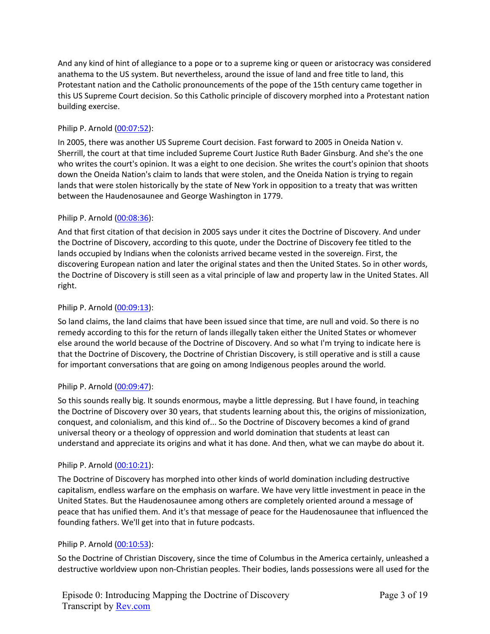And any kind of hint of allegiance to a pope or to a supreme king or queen or aristocracy was considered anathema to the US system. But nevertheless, around the issue of land and free title to land, this Protestant nation and the Catholic pronouncements of the pope of the 15th century came together in this US Supreme Court decision. So this Catholic principle of discovery morphed into a Protestant nation building exercise.

# Philip P. Arnold (00:07:52):

In 2005, there was another US Supreme Court decision. Fast forward to 2005 in Oneida Nation v. Sherrill, the court at that time included Supreme Court Justice Ruth Bader Ginsburg. And she's the one who writes the court's opinion. It was a eight to one decision. She writes the court's opinion that shoots down the Oneida Nation's claim to lands that were stolen, and the Oneida Nation is trying to regain lands that were stolen historically by the state of New York in opposition to a treaty that was written between the Haudenosaunee and George Washington in 1779.

# Philip P. Arnold (00:08:36):

And that first citation of that decision in 2005 says under it cites the Doctrine of Discovery. And under the Doctrine of Discovery, according to this quote, under the Doctrine of Discovery fee titled to the lands occupied by Indians when the colonists arrived became vested in the sovereign. First, the discovering European nation and later the original states and then the United States. So in other words, the Doctrine of Discovery is still seen as a vital principle of law and property law in the United States. All right.

# Philip P. Arnold (00:09:13):

So land claims, the land claims that have been issued since that time, are null and void. So there is no remedy according to this for the return of lands illegally taken either the United States or whomever else around the world because of the Doctrine of Discovery. And so what I'm trying to indicate here is that the Doctrine of Discovery, the Doctrine of Christian Discovery, is still operative and is still a cause for important conversations that are going on among Indigenous peoples around the world.

# Philip P. Arnold (00:09:47):

So this sounds really big. It sounds enormous, maybe a little depressing. But I have found, in teaching the Doctrine of Discovery over 30 years, that students learning about this, the origins of missionization, conquest, and colonialism, and this kind of... So the Doctrine of Discovery becomes a kind of grand universal theory or a theology of oppression and world domination that students at least can understand and appreciate its origins and what it has done. And then, what we can maybe do about it.

# Philip P. Arnold (00:10:21):

The Doctrine of Discovery has morphed into other kinds of world domination including destructive capitalism, endless warfare on the emphasis on warfare. We have very little investment in peace in the United States. But the Haudenosaunee among others are completely oriented around a message of peace that has unified them. And it's that message of peace for the Haudenosaunee that influenced the founding fathers. We'll get into that in future podcasts.

# Philip P. Arnold (00:10:53):

So the Doctrine of Christian Discovery, since the time of Columbus in the America certainly, unleashed a destructive worldview upon non-Christian peoples. Their bodies, lands possessions were all used for the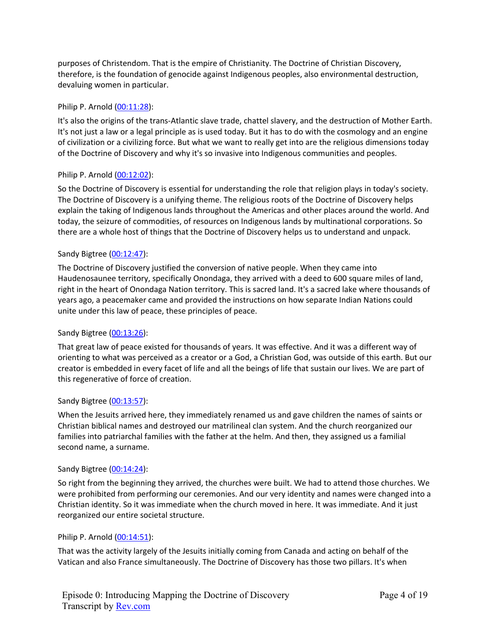purposes of Christendom. That is the empire of Christianity. The Doctrine of Christian Discovery, therefore, is the foundation of genocide against Indigenous peoples, also environmental destruction, devaluing women in particular.

# Philip P. Arnold (00:11:28):

It's also the origins of the trans-Atlantic slave trade, chattel slavery, and the destruction of Mother Earth. It's not just a law or a legal principle as is used today. But it has to do with the cosmology and an engine of civilization or a civilizing force. But what we want to really get into are the religious dimensions today of the Doctrine of Discovery and why it's so invasive into Indigenous communities and peoples.

# Philip P. Arnold (00:12:02):

So the Doctrine of Discovery is essential for understanding the role that religion plays in today's society. The Doctrine of Discovery is a unifying theme. The religious roots of the Doctrine of Discovery helps explain the taking of Indigenous lands throughout the Americas and other places around the world. And today, the seizure of commodities, of resources on Indigenous lands by multinational corporations. So there are a whole host of things that the Doctrine of Discovery helps us to understand and unpack.

# Sandy Bigtree (00:12:47):

The Doctrine of Discovery justified the conversion of native people. When they came into Haudenosaunee territory, specifically Onondaga, they arrived with a deed to 600 square miles of land, right in the heart of Onondaga Nation territory. This is sacred land. It's a sacred lake where thousands of years ago, a peacemaker came and provided the instructions on how separate Indian Nations could unite under this law of peace, these principles of peace.

# Sandy Bigtree (00:13:26):

That great law of peace existed for thousands of years. It was effective. And it was a different way of orienting to what was perceived as a creator or a God, a Christian God, was outside of this earth. But our creator is embedded in every facet of life and all the beings of life that sustain our lives. We are part of this regenerative of force of creation.

# Sandy Bigtree (00:13:57):

When the Jesuits arrived here, they immediately renamed us and gave children the names of saints or Christian biblical names and destroyed our matrilineal clan system. And the church reorganized our families into patriarchal families with the father at the helm. And then, they assigned us a familial second name, a surname.

# Sandy Bigtree (00:14:24):

So right from the beginning they arrived, the churches were built. We had to attend those churches. We were prohibited from performing our ceremonies. And our very identity and names were changed into a Christian identity. So it was immediate when the church moved in here. It was immediate. And it just reorganized our entire societal structure.

# Philip P. Arnold (00:14:51):

That was the activity largely of the Jesuits initially coming from Canada and acting on behalf of the Vatican and also France simultaneously. The Doctrine of Discovery has those two pillars. It's when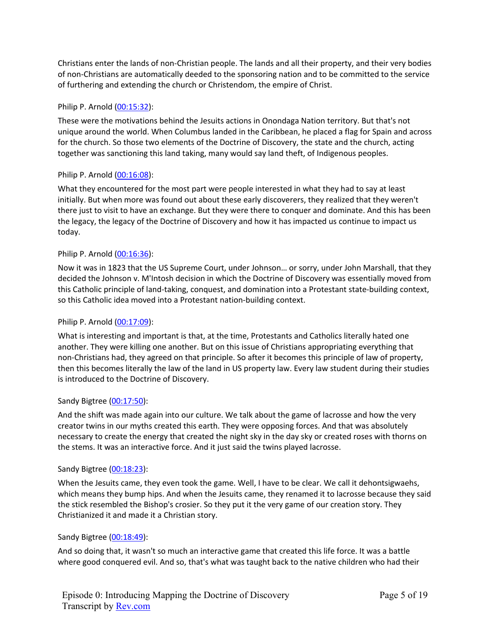Christians enter the lands of non-Christian people. The lands and all their property, and their very bodies of non-Christians are automatically deeded to the sponsoring nation and to be committed to the service of furthering and extending the church or Christendom, the empire of Christ.

# Philip P. Arnold (00:15:32):

These were the motivations behind the Jesuits actions in Onondaga Nation territory. But that's not unique around the world. When Columbus landed in the Caribbean, he placed a flag for Spain and across for the church. So those two elements of the Doctrine of Discovery, the state and the church, acting together was sanctioning this land taking, many would say land theft, of Indigenous peoples.

# Philip P. Arnold (00:16:08):

What they encountered for the most part were people interested in what they had to say at least initially. But when more was found out about these early discoverers, they realized that they weren't there just to visit to have an exchange. But they were there to conquer and dominate. And this has been the legacy, the legacy of the Doctrine of Discovery and how it has impacted us continue to impact us today.

# Philip P. Arnold (00:16:36):

Now it was in 1823 that the US Supreme Court, under Johnson… or sorry, under John Marshall, that they decided the Johnson v. M'Intosh decision in which the Doctrine of Discovery was essentially moved from this Catholic principle of land-taking, conquest, and domination into a Protestant state-building context, so this Catholic idea moved into a Protestant nation-building context.

# Philip P. Arnold (00:17:09):

What is interesting and important is that, at the time, Protestants and Catholics literally hated one another. They were killing one another. But on this issue of Christians appropriating everything that non-Christians had, they agreed on that principle. So after it becomes this principle of law of property, then this becomes literally the law of the land in US property law. Every law student during their studies is introduced to the Doctrine of Discovery.

# Sandy Bigtree (00:17:50):

And the shift was made again into our culture. We talk about the game of lacrosse and how the very creator twins in our myths created this earth. They were opposing forces. And that was absolutely necessary to create the energy that created the night sky in the day sky or created roses with thorns on the stems. It was an interactive force. And it just said the twins played lacrosse.

# Sandy Bigtree (00:18:23):

When the Jesuits came, they even took the game. Well, I have to be clear. We call it dehontsigwaehs, which means they bump hips. And when the Jesuits came, they renamed it to lacrosse because they said the stick resembled the Bishop's crosier. So they put it the very game of our creation story. They Christianized it and made it a Christian story.

# Sandy Bigtree (00:18:49):

And so doing that, it wasn't so much an interactive game that created this life force. It was a battle where good conquered evil. And so, that's what was taught back to the native children who had their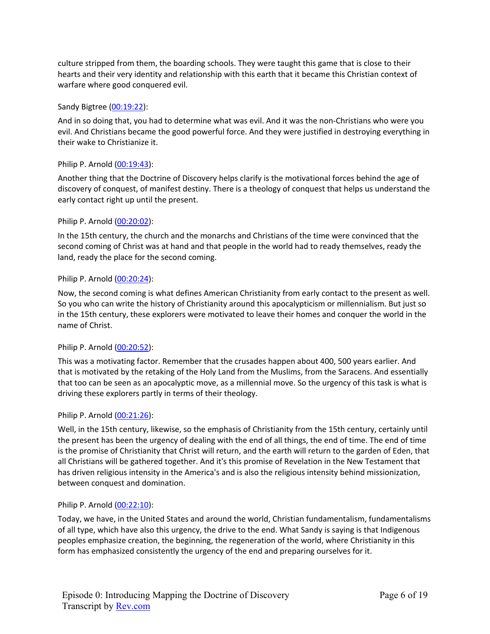culture stripped from them, the boarding schools. They were taught this game that is close to their hearts and their very identity and relationship with this earth that it became this Christian context of warfare where good conquered evil.

# Sandy Bigtree (00:19:22):

And in so doing that, you had to determine what was evil. And it was the non-Christians who were you evil. And Christians became the good powerful force. And they were justified in destroying everything in their wake to Christianize it.

# Philip P. Arnold (00:19:43):

Another thing that the Doctrine of Discovery helps clarify is the motivational forces behind the age of discovery of conquest, of manifest destiny. There is a theology of conquest that helps us understand the early contact right up until the present.

### Philip P. Arnold (00:20:02):

In the 15th century, the church and the monarchs and Christians of the time were convinced that the second coming of Christ was at hand and that people in the world had to ready themselves, ready the land, ready the place for the second coming.

### Philip P. Arnold (00:20:24):

Now, the second coming is what defines American Christianity from early contact to the present as well. So you who can write the history of Christianity around this apocalypticism or millennialism. But just so in the 15th century, these explorers were motivated to leave their homes and conquer the world in the name of Christ.

# Philip P. Arnold (00:20:52):

This was a motivating factor. Remember that the crusades happen about 400, 500 years earlier. And that is motivated by the retaking of the Holy Land from the Muslims, from the Saracens. And essentially that too can be seen as an apocalyptic move, as a millennial move. So the urgency of this task is what is driving these explorers partly in terms of their theology.

#### Philip P. Arnold (00:21:26):

Well, in the 15th century, likewise, so the emphasis of Christianity from the 15th century, certainly until the present has been the urgency of dealing with the end of all things, the end of time. The end of time is the promise of Christianity that Christ will return, and the earth will return to the garden of Eden, that all Christians will be gathered together. And it's this promise of Revelation in the New Testament that has driven religious intensity in the America's and is also the religious intensity behind missionization, between conquest and domination.

#### Philip P. Arnold (00:22:10):

Today, we have, in the United States and around the world, Christian fundamentalism, fundamentalisms of all type, which have also this urgency, the drive to the end. What Sandy is saying is that Indigenous peoples emphasize creation, the beginning, the regeneration of the world, where Christianity in this form has emphasized consistently the urgency of the end and preparing ourselves for it.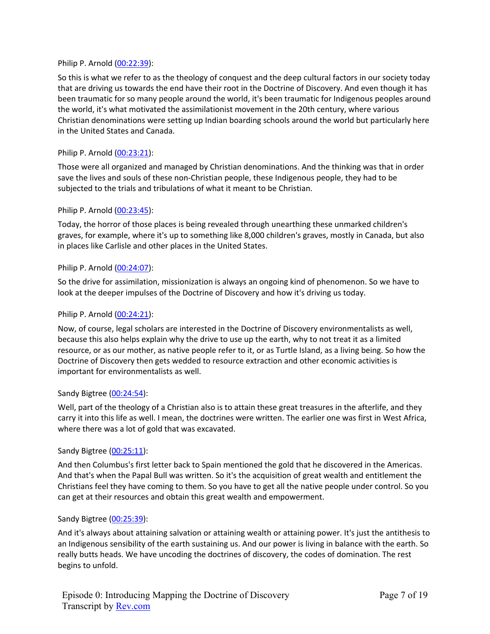### Philip P. Arnold (00:22:39):

So this is what we refer to as the theology of conquest and the deep cultural factors in our society today that are driving us towards the end have their root in the Doctrine of Discovery. And even though it has been traumatic for so many people around the world, it's been traumatic for Indigenous peoples around the world, it's what motivated the assimilationist movement in the 20th century, where various Christian denominations were setting up Indian boarding schools around the world but particularly here in the United States and Canada.

### Philip P. Arnold (00:23:21):

Those were all organized and managed by Christian denominations. And the thinking was that in order save the lives and souls of these non-Christian people, these Indigenous people, they had to be subjected to the trials and tribulations of what it meant to be Christian.

### Philip P. Arnold (00:23:45):

Today, the horror of those places is being revealed through unearthing these unmarked children's graves, for example, where it's up to something like 8,000 children's graves, mostly in Canada, but also in places like Carlisle and other places in the United States.

### Philip P. Arnold (00:24:07):

So the drive for assimilation, missionization is always an ongoing kind of phenomenon. So we have to look at the deeper impulses of the Doctrine of Discovery and how it's driving us today.

### Philip P. Arnold (00:24:21):

Now, of course, legal scholars are interested in the Doctrine of Discovery environmentalists as well, because this also helps explain why the drive to use up the earth, why to not treat it as a limited resource, or as our mother, as native people refer to it, or as Turtle Island, as a living being. So how the Doctrine of Discovery then gets wedded to resource extraction and other economic activities is important for environmentalists as well.

#### Sandy Bigtree (00:24:54):

Well, part of the theology of a Christian also is to attain these great treasures in the afterlife, and they carry it into this life as well. I mean, the doctrines were written. The earlier one was first in West Africa, where there was a lot of gold that was excavated.

#### Sandy Bigtree (00:25:11):

And then Columbus's first letter back to Spain mentioned the gold that he discovered in the Americas. And that's when the Papal Bull was written. So it's the acquisition of great wealth and entitlement the Christians feel they have coming to them. So you have to get all the native people under control. So you can get at their resources and obtain this great wealth and empowerment.

#### Sandy Bigtree (00:25:39):

And it's always about attaining salvation or attaining wealth or attaining power. It's just the antithesis to an Indigenous sensibility of the earth sustaining us. And our power is living in balance with the earth. So really butts heads. We have uncoding the doctrines of discovery, the codes of domination. The rest begins to unfold.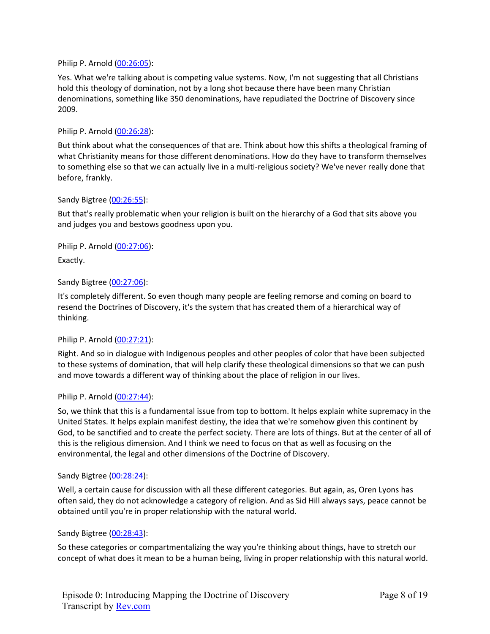Philip P. Arnold (00:26:05):

Yes. What we're talking about is competing value systems. Now, I'm not suggesting that all Christians hold this theology of domination, not by a long shot because there have been many Christian denominations, something like 350 denominations, have repudiated the Doctrine of Discovery since 2009.

Philip P. Arnold (00:26:28):

But think about what the consequences of that are. Think about how this shifts a theological framing of what Christianity means for those different denominations. How do they have to transform themselves to something else so that we can actually live in a multi-religious society? We've never really done that before, frankly.

### Sandy Bigtree (00:26:55):

But that's really problematic when your religion is built on the hierarchy of a God that sits above you and judges you and bestows goodness upon you.

Philip P. Arnold (00:27:06):

Exactly.

# Sandy Bigtree (00:27:06):

It's completely different. So even though many people are feeling remorse and coming on board to resend the Doctrines of Discovery, it's the system that has created them of a hierarchical way of thinking.

#### Philip P. Arnold (00:27:21):

Right. And so in dialogue with Indigenous peoples and other peoples of color that have been subjected to these systems of domination, that will help clarify these theological dimensions so that we can push and move towards a different way of thinking about the place of religion in our lives.

#### Philip P. Arnold (00:27:44):

So, we think that this is a fundamental issue from top to bottom. It helps explain white supremacy in the United States. It helps explain manifest destiny, the idea that we're somehow given this continent by God, to be sanctified and to create the perfect society. There are lots of things. But at the center of all of this is the religious dimension. And I think we need to focus on that as well as focusing on the environmental, the legal and other dimensions of the Doctrine of Discovery.

### Sandy Bigtree (00:28:24):

Well, a certain cause for discussion with all these different categories. But again, as, Oren Lyons has often said, they do not acknowledge a category of religion. And as Sid Hill always says, peace cannot be obtained until you're in proper relationship with the natural world.

#### Sandy Bigtree (00:28:43):

So these categories or compartmentalizing the way you're thinking about things, have to stretch our concept of what does it mean to be a human being, living in proper relationship with this natural world.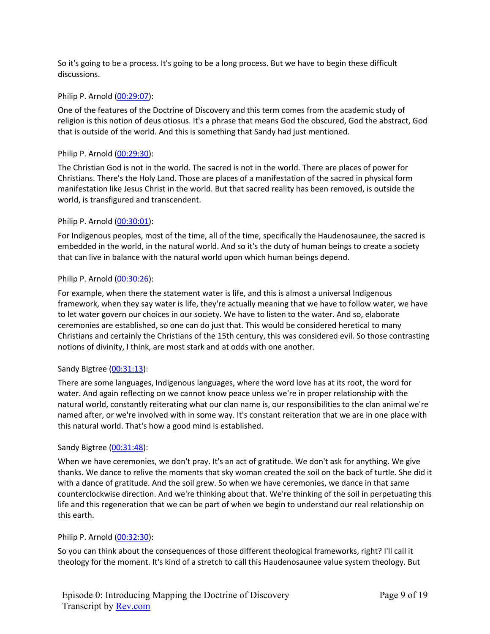So it's going to be a process. It's going to be a long process. But we have to begin these difficult discussions.

# Philip P. Arnold (00:29:07):

One of the features of the Doctrine of Discovery and this term comes from the academic study of religion is this notion of deus otiosus. It's a phrase that means God the obscured, God the abstract, God that is outside of the world. And this is something that Sandy had just mentioned.

# Philip P. Arnold (00:29:30):

The Christian God is not in the world. The sacred is not in the world. There are places of power for Christians. There's the Holy Land. Those are places of a manifestation of the sacred in physical form manifestation like Jesus Christ in the world. But that sacred reality has been removed, is outside the world, is transfigured and transcendent.

# Philip P. Arnold (00:30:01):

For Indigenous peoples, most of the time, all of the time, specifically the Haudenosaunee, the sacred is embedded in the world, in the natural world. And so it's the duty of human beings to create a society that can live in balance with the natural world upon which human beings depend.

# Philip P. Arnold (00:30:26):

For example, when there the statement water is life, and this is almost a universal Indigenous framework, when they say water is life, they're actually meaning that we have to follow water, we have to let water govern our choices in our society. We have to listen to the water. And so, elaborate ceremonies are established, so one can do just that. This would be considered heretical to many Christians and certainly the Christians of the 15th century, this was considered evil. So those contrasting notions of divinity, I think, are most stark and at odds with one another.

# Sandy Bigtree (00:31:13):

There are some languages, Indigenous languages, where the word love has at its root, the word for water. And again reflecting on we cannot know peace unless we're in proper relationship with the natural world, constantly reiterating what our clan name is, our responsibilities to the clan animal we're named after, or we're involved with in some way. It's constant reiteration that we are in one place with this natural world. That's how a good mind is established.

# Sandy Bigtree (00:31:48):

When we have ceremonies, we don't pray. It's an act of gratitude. We don't ask for anything. We give thanks. We dance to relive the moments that sky woman created the soil on the back of turtle. She did it with a dance of gratitude. And the soil grew. So when we have ceremonies, we dance in that same counterclockwise direction. And we're thinking about that. We're thinking of the soil in perpetuating this life and this regeneration that we can be part of when we begin to understand our real relationship on this earth.

# Philip P. Arnold (00:32:30):

So you can think about the consequences of those different theological frameworks, right? I'll call it theology for the moment. It's kind of a stretch to call this Haudenosaunee value system theology. But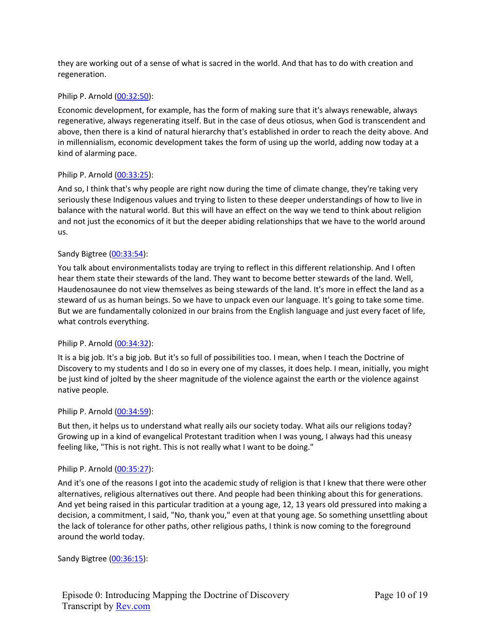they are working out of a sense of what is sacred in the world. And that has to do with creation and regeneration.

# Philip P. Arnold (00:32:50):

Economic development, for example, has the form of making sure that it's always renewable, always regenerative, always regenerating itself. But in the case of deus otiosus, when God is transcendent and above, then there is a kind of natural hierarchy that's established in order to reach the deity above. And in millennialism, economic development takes the form of using up the world, adding now today at a kind of alarming pace.

# Philip P. Arnold (00:33:25):

And so, I think that's why people are right now during the time of climate change, they're taking very seriously these Indigenous values and trying to listen to these deeper understandings of how to live in balance with the natural world. But this will have an effect on the way we tend to think about religion and not just the economics of it but the deeper abiding relationships that we have to the world around us.

# Sandy Bigtree (00:33:54):

You talk about environmentalists today are trying to reflect in this different relationship. And I often hear them state their stewards of the land. They want to become better stewards of the land. Well, Haudenosaunee do not view themselves as being stewards of the land. It's more in effect the land as a steward of us as human beings. So we have to unpack even our language. It's going to take some time. But we are fundamentally colonized in our brains from the English language and just every facet of life, what controls everything.

# Philip P. Arnold (00:34:32):

It is a big job. It's a big job. But it's so full of possibilities too. I mean, when I teach the Doctrine of Discovery to my students and I do so in every one of my classes, it does help. I mean, initially, you might be just kind of jolted by the sheer magnitude of the violence against the earth or the violence against native people.

# Philip P. Arnold (00:34:59):

But then, it helps us to understand what really ails our society today. What ails our religions today? Growing up in a kind of evangelical Protestant tradition when I was young, I always had this uneasy feeling like, "This is not right. This is not really what I want to be doing."

# Philip P. Arnold (00:35:27):

And it's one of the reasons I got into the academic study of religion is that I knew that there were other alternatives, religious alternatives out there. And people had been thinking about this for generations. And yet being raised in this particular tradition at a young age, 12, 13 years old pressured into making a decision, a commitment, I said, "No, thank you," even at that young age. So something unsettling about the lack of tolerance for other paths, other religious paths, I think is now coming to the foreground around the world today.

Sandy Bigtree (00:36:15):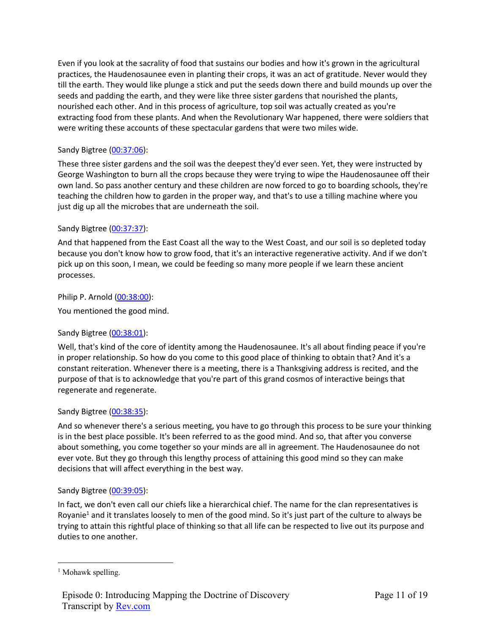Even if you look at the sacrality of food that sustains our bodies and how it's grown in the agricultural practices, the Haudenosaunee even in planting their crops, it was an act of gratitude. Never would they till the earth. They would like plunge a stick and put the seeds down there and build mounds up over the seeds and padding the earth, and they were like three sister gardens that nourished the plants, nourished each other. And in this process of agriculture, top soil was actually created as you're extracting food from these plants. And when the Revolutionary War happened, there were soldiers that were writing these accounts of these spectacular gardens that were two miles wide.

# Sandy Bigtree (00:37:06):

These three sister gardens and the soil was the deepest they'd ever seen. Yet, they were instructed by George Washington to burn all the crops because they were trying to wipe the Haudenosaunee off their own land. So pass another century and these children are now forced to go to boarding schools, they're teaching the children how to garden in the proper way, and that's to use a tilling machine where you just dig up all the microbes that are underneath the soil.

# Sandy Bigtree (00:37:37):

And that happened from the East Coast all the way to the West Coast, and our soil is so depleted today because you don't know how to grow food, that it's an interactive regenerative activity. And if we don't pick up on this soon, I mean, we could be feeding so many more people if we learn these ancient processes.

Philip P. Arnold (00:38:00):

You mentioned the good mind.

# Sandy Bigtree (00:38:01):

Well, that's kind of the core of identity among the Haudenosaunee. It's all about finding peace if you're in proper relationship. So how do you come to this good place of thinking to obtain that? And it's a constant reiteration. Whenever there is a meeting, there is a Thanksgiving address is recited, and the purpose of that is to acknowledge that you're part of this grand cosmos of interactive beings that regenerate and regenerate.

# Sandy Bigtree (00:38:35):

And so whenever there's a serious meeting, you have to go through this process to be sure your thinking is in the best place possible. It's been referred to as the good mind. And so, that after you converse about something, you come together so your minds are all in agreement. The Haudenosaunee do not ever vote. But they go through this lengthy process of attaining this good mind so they can make decisions that will affect everything in the best way.

# Sandy Bigtree (00:39:05):

In fact, we don't even call our chiefs like a hierarchical chief. The name for the clan representatives is Royanie<sup>1</sup> and it translates loosely to men of the good mind. So it's just part of the culture to always be trying to attain this rightful place of thinking so that all life can be respected to live out its purpose and duties to one another.

<sup>&</sup>lt;sup>1</sup> Mohawk spelling.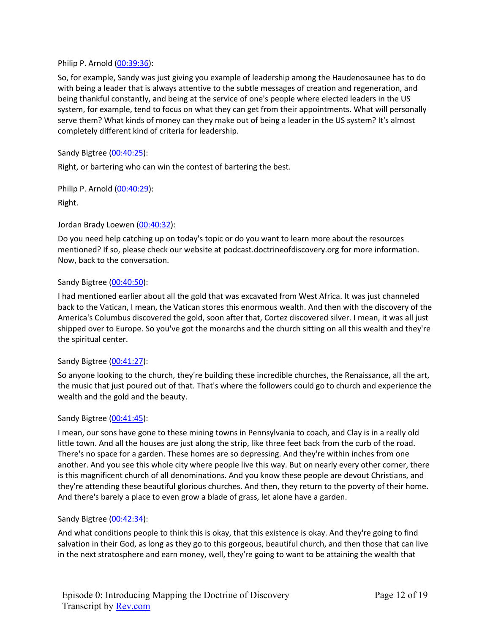### Philip P. Arnold (00:39:36):

So, for example, Sandy was just giving you example of leadership among the Haudenosaunee has to do with being a leader that is always attentive to the subtle messages of creation and regeneration, and being thankful constantly, and being at the service of one's people where elected leaders in the US system, for example, tend to focus on what they can get from their appointments. What will personally serve them? What kinds of money can they make out of being a leader in the US system? It's almost completely different kind of criteria for leadership.

### Sandy Bigtree (00:40:25):

Right, or bartering who can win the contest of bartering the best.

Philip P. Arnold (00:40:29):

Right.

### Jordan Brady Loewen (00:40:32):

Do you need help catching up on today's topic or do you want to learn more about the resources mentioned? If so, please check our website at podcast.doctrineofdiscovery.org for more information. Now, back to the conversation.

### Sandy Bigtree (00:40:50):

I had mentioned earlier about all the gold that was excavated from West Africa. It was just channeled back to the Vatican, I mean, the Vatican stores this enormous wealth. And then with the discovery of the America's Columbus discovered the gold, soon after that, Cortez discovered silver. I mean, it was all just shipped over to Europe. So you've got the monarchs and the church sitting on all this wealth and they're the spiritual center.

# Sandy Bigtree (00:41:27):

So anyone looking to the church, they're building these incredible churches, the Renaissance, all the art, the music that just poured out of that. That's where the followers could go to church and experience the wealth and the gold and the beauty.

#### Sandy Bigtree (00:41:45):

I mean, our sons have gone to these mining towns in Pennsylvania to coach, and Clay is in a really old little town. And all the houses are just along the strip, like three feet back from the curb of the road. There's no space for a garden. These homes are so depressing. And they're within inches from one another. And you see this whole city where people live this way. But on nearly every other corner, there is this magnificent church of all denominations. And you know these people are devout Christians, and they're attending these beautiful glorious churches. And then, they return to the poverty of their home. And there's barely a place to even grow a blade of grass, let alone have a garden.

#### Sandy Bigtree (00:42:34):

And what conditions people to think this is okay, that this existence is okay. And they're going to find salvation in their God, as long as they go to this gorgeous, beautiful church, and then those that can live in the next stratosphere and earn money, well, they're going to want to be attaining the wealth that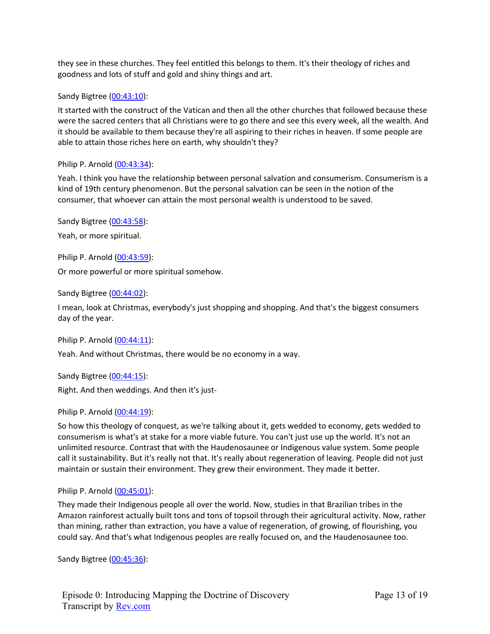they see in these churches. They feel entitled this belongs to them. It's their theology of riches and goodness and lots of stuff and gold and shiny things and art.

Sandy Bigtree (00:43:10):

It started with the construct of the Vatican and then all the other churches that followed because these were the sacred centers that all Christians were to go there and see this every week, all the wealth. And it should be available to them because they're all aspiring to their riches in heaven. If some people are able to attain those riches here on earth, why shouldn't they?

Philip P. Arnold (00:43:34):

Yeah. I think you have the relationship between personal salvation and consumerism. Consumerism is a kind of 19th century phenomenon. But the personal salvation can be seen in the notion of the consumer, that whoever can attain the most personal wealth is understood to be saved.

Sandy Bigtree (00:43:58): Yeah, or more spiritual.

Philip P. Arnold (00:43:59): Or more powerful or more spiritual somehow.

Sandy Bigtree (00:44:02):

I mean, look at Christmas, everybody's just shopping and shopping. And that's the biggest consumers day of the year.

Philip P. Arnold (00:44:11):

Yeah. And without Christmas, there would be no economy in a way.

Sandy Bigtree (00:44:15): Right. And then weddings. And then it's just-

Philip P. Arnold (00:44:19):

So how this theology of conquest, as we're talking about it, gets wedded to economy, gets wedded to consumerism is what's at stake for a more viable future. You can't just use up the world. It's not an unlimited resource. Contrast that with the Haudenosaunee or Indigenous value system. Some people call it sustainability. But it's really not that. It's really about regeneration of leaving. People did not just maintain or sustain their environment. They grew their environment. They made it better.

# Philip P. Arnold (00:45:01):

They made their Indigenous people all over the world. Now, studies in that Brazilian tribes in the Amazon rainforest actually built tons and tons of topsoil through their agricultural activity. Now, rather than mining, rather than extraction, you have a value of regeneration, of growing, of flourishing, you could say. And that's what Indigenous peoples are really focused on, and the Haudenosaunee too.

Sandy Bigtree (00:45:36):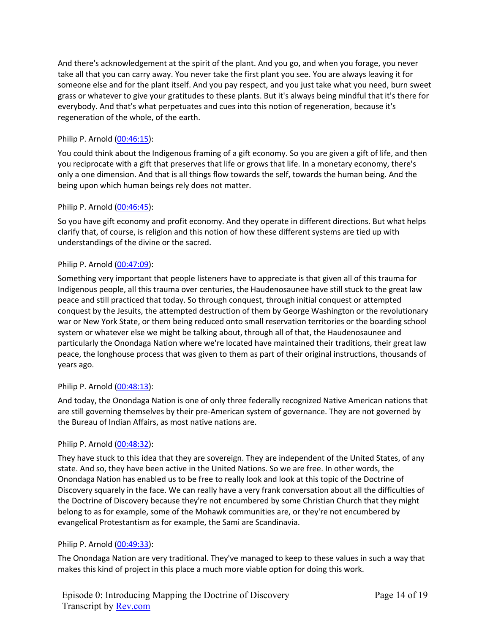And there's acknowledgement at the spirit of the plant. And you go, and when you forage, you never take all that you can carry away. You never take the first plant you see. You are always leaving it for someone else and for the plant itself. And you pay respect, and you just take what you need, burn sweet grass or whatever to give your gratitudes to these plants. But it's always being mindful that it's there for everybody. And that's what perpetuates and cues into this notion of regeneration, because it's regeneration of the whole, of the earth.

# Philip P. Arnold (00:46:15):

You could think about the Indigenous framing of a gift economy. So you are given a gift of life, and then you reciprocate with a gift that preserves that life or grows that life. In a monetary economy, there's only a one dimension. And that is all things flow towards the self, towards the human being. And the being upon which human beings rely does not matter.

# Philip P. Arnold (00:46:45):

So you have gift economy and profit economy. And they operate in different directions. But what helps clarify that, of course, is religion and this notion of how these different systems are tied up with understandings of the divine or the sacred.

# Philip P. Arnold (00:47:09):

Something very important that people listeners have to appreciate is that given all of this trauma for Indigenous people, all this trauma over centuries, the Haudenosaunee have still stuck to the great law peace and still practiced that today. So through conquest, through initial conquest or attempted conquest by the Jesuits, the attempted destruction of them by George Washington or the revolutionary war or New York State, or them being reduced onto small reservation territories or the boarding school system or whatever else we might be talking about, through all of that, the Haudenosaunee and particularly the Onondaga Nation where we're located have maintained their traditions, their great law peace, the longhouse process that was given to them as part of their original instructions, thousands of years ago.

# Philip P. Arnold (00:48:13):

And today, the Onondaga Nation is one of only three federally recognized Native American nations that are still governing themselves by their pre-American system of governance. They are not governed by the Bureau of Indian Affairs, as most native nations are.

# Philip P. Arnold (00:48:32):

They have stuck to this idea that they are sovereign. They are independent of the United States, of any state. And so, they have been active in the United Nations. So we are free. In other words, the Onondaga Nation has enabled us to be free to really look and look at this topic of the Doctrine of Discovery squarely in the face. We can really have a very frank conversation about all the difficulties of the Doctrine of Discovery because they're not encumbered by some Christian Church that they might belong to as for example, some of the Mohawk communities are, or they're not encumbered by evangelical Protestantism as for example, the Sami are Scandinavia.

# Philip P. Arnold (00:49:33):

The Onondaga Nation are very traditional. They've managed to keep to these values in such a way that makes this kind of project in this place a much more viable option for doing this work.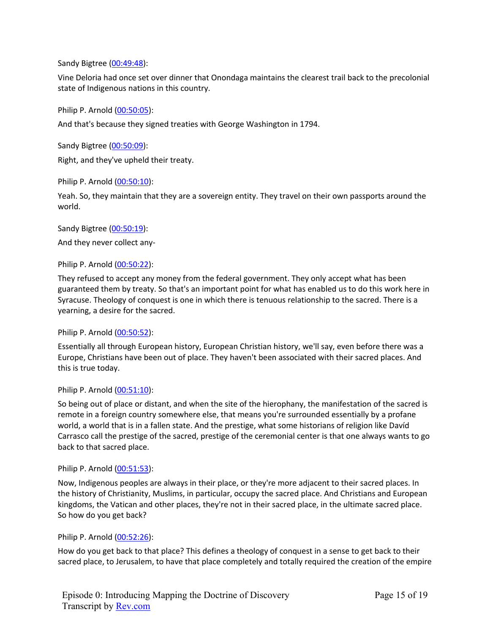Sandy Bigtree (00:49:48):

Vine Deloria had once set over dinner that Onondaga maintains the clearest trail back to the precolonial state of Indigenous nations in this country.

Philip P. Arnold (00:50:05):

And that's because they signed treaties with George Washington in 1794.

Sandy Bigtree (00:50:09): Right, and they've upheld their treaty.

Philip P. Arnold (00:50:10):

Yeah. So, they maintain that they are a sovereign entity. They travel on their own passports around the world.

Sandy Bigtree (00:50:19):

And they never collect any-

Philip P. Arnold (00:50:22):

They refused to accept any money from the federal government. They only accept what has been guaranteed them by treaty. So that's an important point for what has enabled us to do this work here in Syracuse. Theology of conquest is one in which there is tenuous relationship to the sacred. There is a yearning, a desire for the sacred.

Philip P. Arnold (00:50:52):

Essentially all through European history, European Christian history, we'll say, even before there was a Europe, Christians have been out of place. They haven't been associated with their sacred places. And this is true today.

#### Philip P. Arnold (00:51:10):

So being out of place or distant, and when the site of the hierophany, the manifestation of the sacred is remote in a foreign country somewhere else, that means you're surrounded essentially by a profane world, a world that is in a fallen state. And the prestige, what some historians of religion like Davíd Carrasco call the prestige of the sacred, prestige of the ceremonial center is that one always wants to go back to that sacred place.

#### Philip P. Arnold (00:51:53):

Now, Indigenous peoples are always in their place, or they're more adjacent to their sacred places. In the history of Christianity, Muslims, in particular, occupy the sacred place. And Christians and European kingdoms, the Vatican and other places, they're not in their sacred place, in the ultimate sacred place. So how do you get back?

#### Philip P. Arnold (00:52:26):

How do you get back to that place? This defines a theology of conquest in a sense to get back to their sacred place, to Jerusalem, to have that place completely and totally required the creation of the empire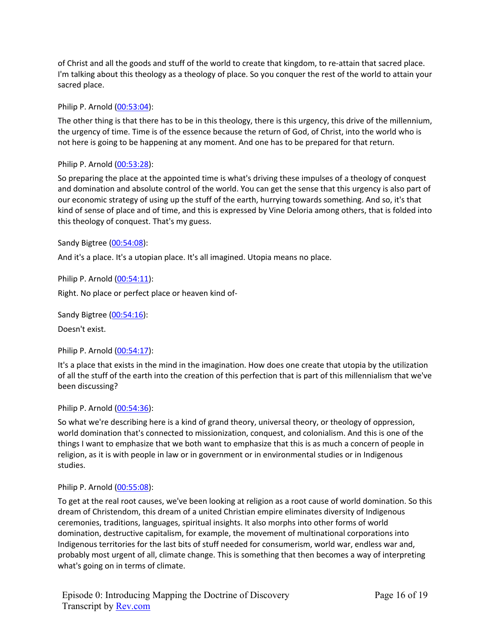of Christ and all the goods and stuff of the world to create that kingdom, to re-attain that sacred place. I'm talking about this theology as a theology of place. So you conquer the rest of the world to attain your sacred place.

Philip P. Arnold (00:53:04):

The other thing is that there has to be in this theology, there is this urgency, this drive of the millennium, the urgency of time. Time is of the essence because the return of God, of Christ, into the world who is not here is going to be happening at any moment. And one has to be prepared for that return.

# Philip P. Arnold (00:53:28):

So preparing the place at the appointed time is what's driving these impulses of a theology of conquest and domination and absolute control of the world. You can get the sense that this urgency is also part of our economic strategy of using up the stuff of the earth, hurrying towards something. And so, it's that kind of sense of place and of time, and this is expressed by Vine Deloria among others, that is folded into this theology of conquest. That's my guess.

# Sandy Bigtree (00:54:08):

And it's a place. It's a utopian place. It's all imagined. Utopia means no place.

Philip P. Arnold (00:54:11):

Right. No place or perfect place or heaven kind of-

Sandy Bigtree (00:54:16):

Doesn't exist.

Philip P. Arnold (00:54:17):

It's a place that exists in the mind in the imagination. How does one create that utopia by the utilization of all the stuff of the earth into the creation of this perfection that is part of this millennialism that we've been discussing?

Philip P. Arnold (00:54:36):

So what we're describing here is a kind of grand theory, universal theory, or theology of oppression, world domination that's connected to missionization, conquest, and colonialism. And this is one of the things I want to emphasize that we both want to emphasize that this is as much a concern of people in religion, as it is with people in law or in government or in environmental studies or in Indigenous studies.

# Philip P. Arnold (00:55:08):

To get at the real root causes, we've been looking at religion as a root cause of world domination. So this dream of Christendom, this dream of a united Christian empire eliminates diversity of Indigenous ceremonies, traditions, languages, spiritual insights. It also morphs into other forms of world domination, destructive capitalism, for example, the movement of multinational corporations into Indigenous territories for the last bits of stuff needed for consumerism, world war, endless war and, probably most urgent of all, climate change. This is something that then becomes a way of interpreting what's going on in terms of climate.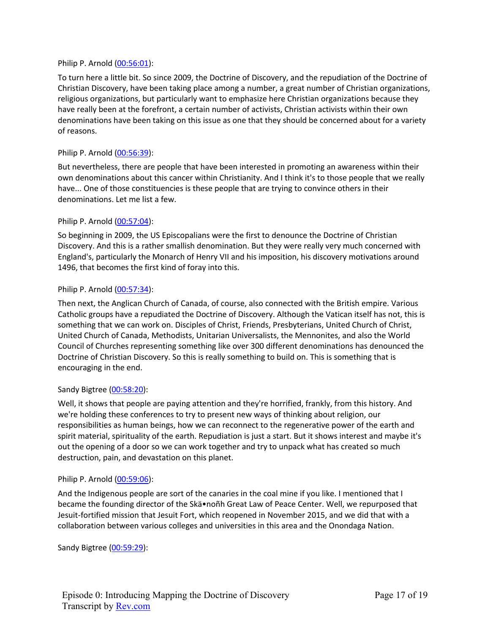# Philip P. Arnold (00:56:01):

To turn here a little bit. So since 2009, the Doctrine of Discovery, and the repudiation of the Doctrine of Christian Discovery, have been taking place among a number, a great number of Christian organizations, religious organizations, but particularly want to emphasize here Christian organizations because they have really been at the forefront, a certain number of activists, Christian activists within their own denominations have been taking on this issue as one that they should be concerned about for a variety of reasons.

### Philip P. Arnold (00:56:39):

But nevertheless, there are people that have been interested in promoting an awareness within their own denominations about this cancer within Christianity. And I think it's to those people that we really have... One of those constituencies is these people that are trying to convince others in their denominations. Let me list a few.

### Philip P. Arnold (00:57:04):

So beginning in 2009, the US Episcopalians were the first to denounce the Doctrine of Christian Discovery. And this is a rather smallish denomination. But they were really very much concerned with England's, particularly the Monarch of Henry VII and his imposition, his discovery motivations around 1496, that becomes the first kind of foray into this.

### Philip P. Arnold (00:57:34):

Then next, the Anglican Church of Canada, of course, also connected with the British empire. Various Catholic groups have a repudiated the Doctrine of Discovery. Although the Vatican itself has not, this is something that we can work on. Disciples of Christ, Friends, Presbyterians, United Church of Christ, United Church of Canada, Methodists, Unitarian Universalists, the Mennonites, and also the World Council of Churches representing something like over 300 different denominations has denounced the Doctrine of Christian Discovery. So this is really something to build on. This is something that is encouraging in the end.

# Sandy Bigtree (00:58:20):

Well, it shows that people are paying attention and they're horrified, frankly, from this history. And we're holding these conferences to try to present new ways of thinking about religion, our responsibilities as human beings, how we can reconnect to the regenerative power of the earth and spirit material, spirituality of the earth. Repudiation is just a start. But it shows interest and maybe it's out the opening of a door so we can work together and try to unpack what has created so much destruction, pain, and devastation on this planet.

#### Philip P. Arnold (00:59:06):

And the Indigenous people are sort of the canaries in the coal mine if you like. I mentioned that I became the founding director of the Skä•noñh Great Law of Peace Center. Well, we repurposed that Jesuit-fortified mission that Jesuit Fort, which reopened in November 2015, and we did that with a collaboration between various colleges and universities in this area and the Onondaga Nation.

Sandy Bigtree (00:59:29):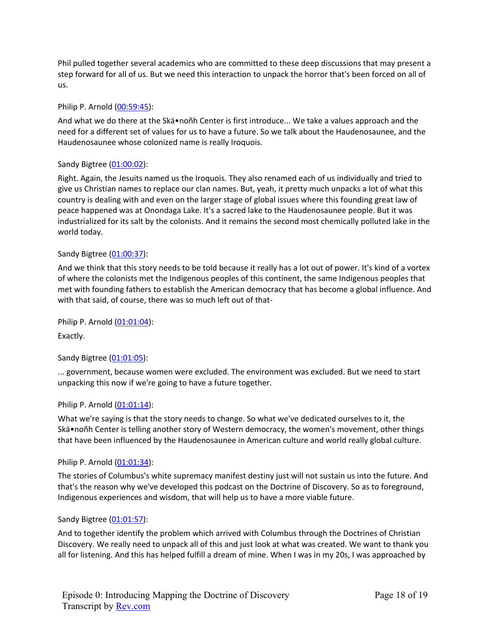Phil pulled together several academics who are committed to these deep discussions that may present a step forward for all of us. But we need this interaction to unpack the horror that's been forced on all of us.

# Philip P. Arnold (00:59:45):

And what we do there at the Skä•noñh Center is first introduce... We take a values approach and the need for a different set of values for us to have a future. So we talk about the Haudenosaunee, and the Haudenosaunee whose colonized name is really Iroquois.

# Sandy Bigtree (01:00:02):

Right. Again, the Jesuits named us the Iroquois. They also renamed each of us individually and tried to give us Christian names to replace our clan names. But, yeah, it pretty much unpacks a lot of what this country is dealing with and even on the larger stage of global issues where this founding great law of peace happened was at Onondaga Lake. It's a sacred lake to the Haudenosaunee people. But it was industrialized for its salt by the colonists. And it remains the second most chemically polluted lake in the world today.

# Sandy Bigtree (01:00:37):

And we think that this story needs to be told because it really has a lot out of power. It's kind of a vortex of where the colonists met the Indigenous peoples of this continent, the same Indigenous peoples that met with founding fathers to establish the American democracy that has become a global influence. And with that said, of course, there was so much left out of that-

Philip P. Arnold (01:01:04): Exactly.

# Sandy Bigtree (01:01:05):

... government, because women were excluded. The environment was excluded. But we need to start unpacking this now if we're going to have a future together.

# Philip P. Arnold (01:01:14):

What we're saying is that the story needs to change. So what we've dedicated ourselves to it, the Skä•noñh Center is telling another story of Western democracy, the women's movement, other things that have been influenced by the Haudenosaunee in American culture and world really global culture.

# Philip P. Arnold (01:01:34):

The stories of Columbus's white supremacy manifest destiny just will not sustain us into the future. And that's the reason why we've developed this podcast on the Doctrine of Discovery. So as to foreground, Indigenous experiences and wisdom, that will help us to have a more viable future.

# Sandy Bigtree (01:01:57):

And to together identify the problem which arrived with Columbus through the Doctrines of Christian Discovery. We really need to unpack all of this and just look at what was created. We want to thank you all for listening. And this has helped fulfill a dream of mine. When I was in my 20s, I was approached by